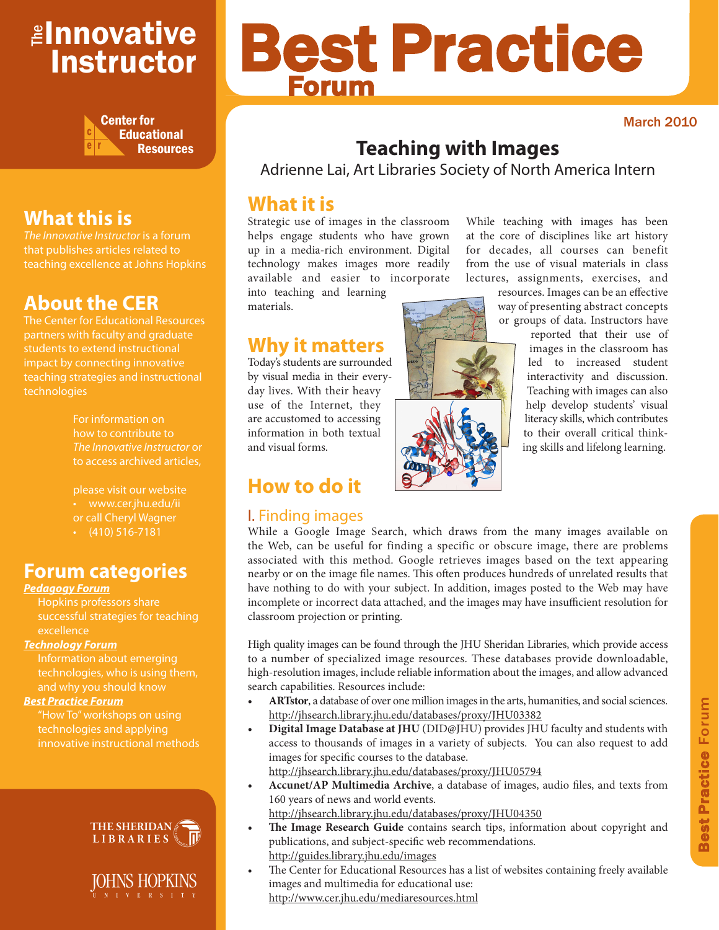# ≇l<mark>nnovative</mark> Instructor



# **What this is**

*The Innovative Instructor* is a forum that publishes articles related to teaching excellence at Johns Hopkins

# **About the CER**

The Center for Educational Resources partners with faculty and graduate impact by connecting innovative teaching strategies and instructional technologies

> For information on how to contribute to *The Innovative Instructor* or to access archived articles,

please visit our website • www.cer.jhu.edu/ii or call Cheryl Wagner  $\cdot$  (410) 516-7181

# **Forum categories**

## *Pedagogy Forum*

Hopkins professors share successful strategies for teaching excellence

## *Technology Forum*

technologies, who is using them, and why you should know

## *Best Practice Forum*

technologies and applying innovative instructional methods



IOHNS HOPKINS N I V E R S I T Y

# Best Practice Forum

March 2010

# **Teaching with Images**

Adrienne Lai, Art Libraries Society of North America Intern

# **What it is**

Strategic use of images in the classroom helps engage students who have grown up in a media-rich environment. Digital technology makes images more readily available and easier to incorporate

into teaching and learning materials.

**Why it matters**

Today's students are surrounded by visual media in their everyday lives. With their heavy use of the Internet, they are accustomed to accessing information in both textual and visual forms.

# **How to do it**

## I. Finding images

at the core of disciplines like art history for decades, all courses can benefit from the use of visual materials in class lectures, assignments, exercises, and

While teaching with images has been

resources. Images can be an effective way of presenting abstract concepts or groups of data. Instructors have

reported that their use of images in the classroom has led to increased student interactivity and discussion. Teaching with images can also help develop students' visual literacy skills, which contributes to their overall critical thinking skills and lifelong learning.

While a Google Image Search, which draws from the many images available on the Web, can be useful for finding a specific or obscure image, there are problems associated with this method. Google retrieves images based on the text appearing nearby or on the image file names. This often produces hundreds of unrelated results that have nothing to do with your subject. In addition, images posted to the Web may have incomplete or incorrect data attached, and the images may have insufficient resolution for classroom projection or printing.

High quality images can be found through the JHU Sheridan Libraries, which provide access to a number of specialized image resources. These databases provide downloadable, high-resolution images, include reliable information about the images, and allow advanced search capabilities. Resources include:

- **• ARTstor**, a database of over one million images in the arts, humanities, and social sciences. http://jhsearch.library.jhu.edu/databases/proxy/JHU03382
- **• Digital Image Database at JHU** (DID@JHU) provides JHU faculty and students with access to thousands of images in a variety of subjects. You can also request to add images for specific courses to the database.

http://jhsearch.library.jhu.edu/databases/proxy/JHU05794

- **• Accunet/AP Multimedia Archive**, a database of images, audio files, and texts from 160 years of news and world events. http://jhsearch.library.jhu.edu/databases/proxy/JHU04350
- **The Image Research Guide** contains search tips, information about copyright and publications, and subject-specific web recommendations. http://guides.library.jhu.edu/images
- The Center for Educational Resources has a list of websites containing freely available images and multimedia for educational use: http://www.cer.jhu.edu/mediaresources.html